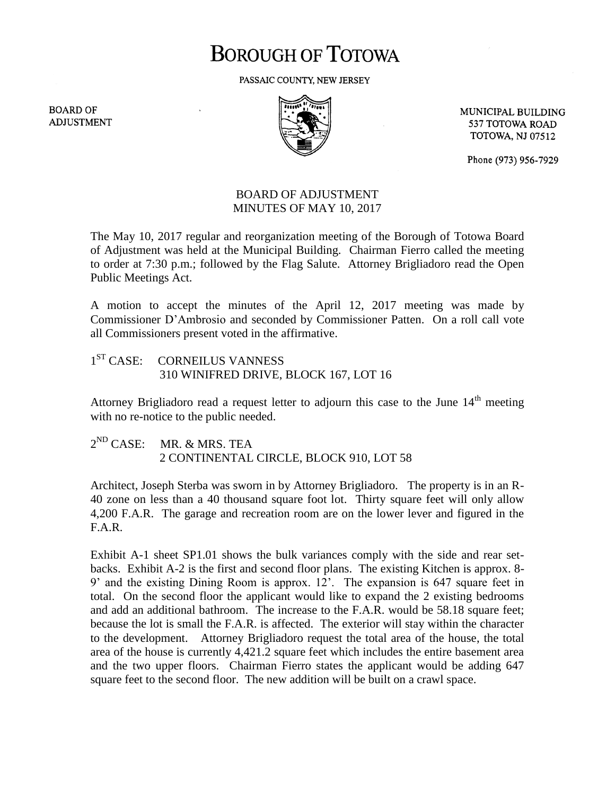# **BOROUGH OF TOTOWA**

PASSAIC COUNTY, NEW JERSEY

**BOARD OF ADJUSTMENT** 



MUNICIPAL BUILDING 537 TOTOWA ROAD **TOTOWA, NJ 07512** 

Phone (973) 956-7929

## BOARD OF ADJUSTMENT MINUTES OF MAY 10, 2017

The May 10, 2017 regular and reorganization meeting of the Borough of Totowa Board of Adjustment was held at the Municipal Building. Chairman Fierro called the meeting to order at 7:30 p.m.; followed by the Flag Salute. Attorney Brigliadoro read the Open Public Meetings Act.

A motion to accept the minutes of the April 12, 2017 meeting was made by Commissioner D'Ambrosio and seconded by Commissioner Patten. On a roll call vote all Commissioners present voted in the affirmative.

#### $1^{ST}$  CASE: CORNEILUS VANNESS 310 WINIFRED DRIVE, BLOCK 167, LOT 16

Attorney Brigliadoro read a request letter to adjourn this case to the June  $14<sup>th</sup>$  meeting with no re-notice to the public needed.

#### $2^{ND}$  CASE: MR. & MRS. TEA 2 CONTINENTAL CIRCLE, BLOCK 910, LOT 58

Architect, Joseph Sterba was sworn in by Attorney Brigliadoro. The property is in an R-40 zone on less than a 40 thousand square foot lot. Thirty square feet will only allow 4,200 F.A.R. The garage and recreation room are on the lower lever and figured in the F.A.R.

Exhibit A-1 sheet SP1.01 shows the bulk variances comply with the side and rear setbacks. Exhibit A-2 is the first and second floor plans. The existing Kitchen is approx. 8- 9' and the existing Dining Room is approx. 12'. The expansion is 647 square feet in total. On the second floor the applicant would like to expand the 2 existing bedrooms and add an additional bathroom. The increase to the F.A.R. would be 58.18 square feet; because the lot is small the F.A.R. is affected. The exterior will stay within the character to the development. Attorney Brigliadoro request the total area of the house, the total area of the house is currently 4,421.2 square feet which includes the entire basement area and the two upper floors. Chairman Fierro states the applicant would be adding 647 square feet to the second floor. The new addition will be built on a crawl space.